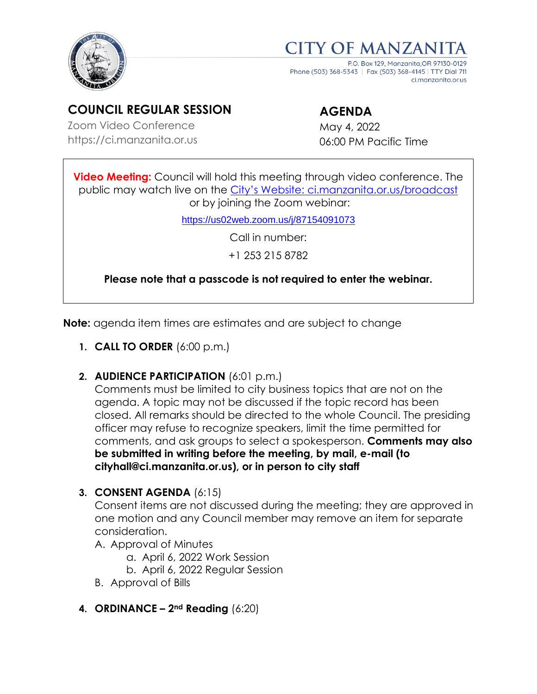



P.O. Box 129, Manzanita OR 9713 Phone (503) 368-5343 | Fax (503) 368-4145 | TTY Dial 711 ci.manzanita.or.us

# **COUNCIL REGULAR SESSION**

Zoom Video Conference https://ci.manzanita.or.us

# **AGENDA**

May 4, 2022 06:00 PM Pacific Time

**Video Meeting:** Council will hold this meeting through video conference. The public may watch live on the [City's Website: ci.manzanita.or.us/broadcast](https://ci.manzanita.or.us/broadcast) or by joining the Zoom webinar:

<https://us02web.zoom.us/j/87154091073>

Call in number:

+1 253 215 8782

**Please note that a passcode is not required to enter the webinar.**

**Note:** agenda item times are estimates and are subject to change

- **1. CALL TO ORDER** (6:00 p.m.)
- **2. AUDIENCE PARTICIPATION** (6:01 p.m.)

Comments must be limited to city business topics that are not on the agenda. A topic may not be discussed if the topic record has been closed. All remarks should be directed to the whole Council. The presiding officer may refuse to recognize speakers, limit the time permitted for comments, and ask groups to select a spokesperson. **Comments may also be submitted in writing before the meeting, by mail, e-mail (to cityhall@ci.manzanita.or.us), or in person to city staff**

**3. CONSENT AGENDA** (6:15)

Consent items are not discussed during the meeting; they are approved in one motion and any Council member may remove an item for separate consideration.

- A. Approval of Minutes
	- a. April 6, 2022 Work Session
	- b. April 6, 2022 Regular Session
- B. Approval of Bills
- **4. ORDINANCE – 2nd Reading** (6:20)